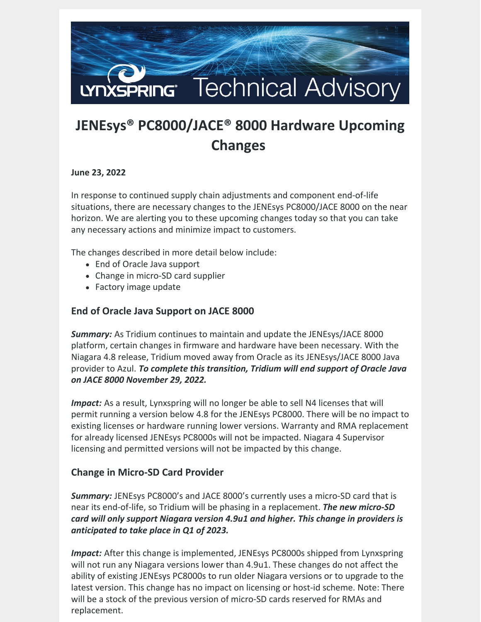

# **JENEsys® PC8000/JACE® 8000 Hardware Upcoming Changes**

#### **June 23, 2022**

In response to continued supply chain adjustments and component end-of-life situations, there are necessary changes to the JENEsys PC8000/JACE 8000 on the near horizon. We are alerting you to these upcoming changes today so that you can take any necessary actions and minimize impact to customers.

The changes described in more detail below include:

- End of Oracle Java support
- Change in micro-SD card supplier
- Factory image update

### **End of Oracle Java Support on JACE 8000**

*Summary:* As Tridium continues to maintain and update the JENEsys/JACE 8000 platform, certain changes in firmware and hardware have been necessary. With the Niagara 4.8 release, Tridium moved away from Oracle as its JENEsys/JACE 8000 Java provider to Azul. *To complete this transition, Tridium will end support of Oracle Java on JACE 8000 November 29, 2022.*

*Impact:* As a result, Lynxspring will no longer be able to sell N4 licenses that will permit running a version below 4.8 for the JENEsys PC8000. There will be no impact to existing licenses or hardware running lower versions. Warranty and RMA replacement for already licensed JENEsys PC8000s will not be impacted. Niagara 4 Supervisor licensing and permitted versions will not be impacted by this change.

## **Change in Micro-SD Card Provider**

*Summary:* JENEsys PC8000's and JACE 8000's currently uses a micro-SD card that is near its end-of-life, so Tridium will be phasing in a replacement. *The new micro-SD card will only support Niagara version 4.9u1 and higher. This change in providers is anticipated to take place in Q1 of 2023.*

*Impact:* After this change is implemented, JENEsys PC8000s shipped from Lynxspring will not run any Niagara versions lower than 4.9u1. These changes do not affect the ability of existing JENEsys PC8000s to run older Niagara versions or to upgrade to the latest version. This change has no impact on licensing or host-id scheme. Note: There will be a stock of the previous version of micro-SD cards reserved for RMAs and replacement.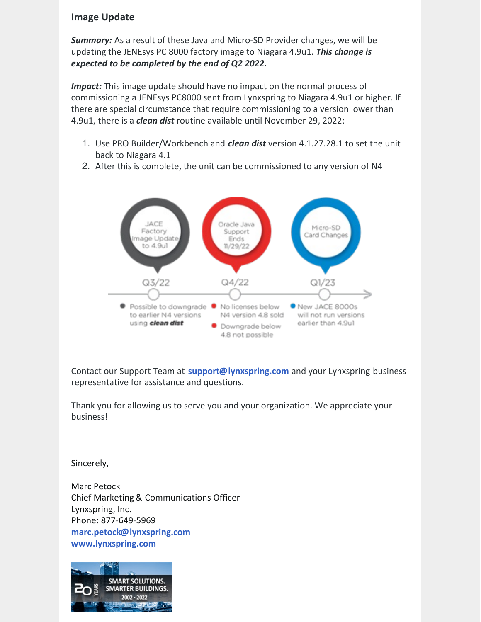#### **Image Update**

*Summary:* As a result of these Java and Micro-SD Provider changes, we will be updating the JENEsys PC 8000 factory image to Niagara 4.9u1. *This change is expected to be completed by the end of Q2 2022.*

**Impact:** This image update should have no impact on the normal process of commissioning a JENEsys PC8000 sent from Lynxspring to Niagara 4.9u1 or higher. If there are special circumstance that require commissioning to a version lower than 4.9u1, there is a *clean dist* routine available until November 29, 2022:

- 1. Use PRO Builder/Workbench and *clean dist* version 4.1.27.28.1 to set the unit back to Niagara 4.1
- 2. After this is complete, the unit can be commissioned to any version of N4



Contact our Support Team at **[support@lynxspring.com](mailto:support@lynxspring.com)** and your Lynxspring business representative for assistance and questions.

Thank you for allowing us to serve you and your organization. We appreciate your business!

Sincerely,

Marc Petock Chief Marketing & Communications Officer Lynxspring, Inc. Phone: 877-649-5969 **[marc.petock@lynxspring.com](mailto:marc.petock@lynxspring.com) [www.lynxspring.com](http://r20.rs6.net/tn.jsp?f=001MW1TbgoCTIOpG7_sIy-d2xc7cvfx5aLMnXzX1MJ6y9ChY2tx8aKwqRETc74ZIu3Lo05PgDJLgTL_mVtu3PuYAs6pFuVmEYFlZzmLJtxhrYXpX_uqyMKPIzc1jx6O-PHnhc407731fqGHETBNiKreJ64Z8DjXGk2m7iOqMbQKNL0=&c=_dT6OF6ix049offthOLUD-OZeQKzVaFiSwcJY_aGCSXkZjtA0xQuKg==&ch=JVFTdJ9CSwWH-NeonUMHcvkLSIMGr2dF2NAYTvR1llMYW-mv_nvPlw==)**